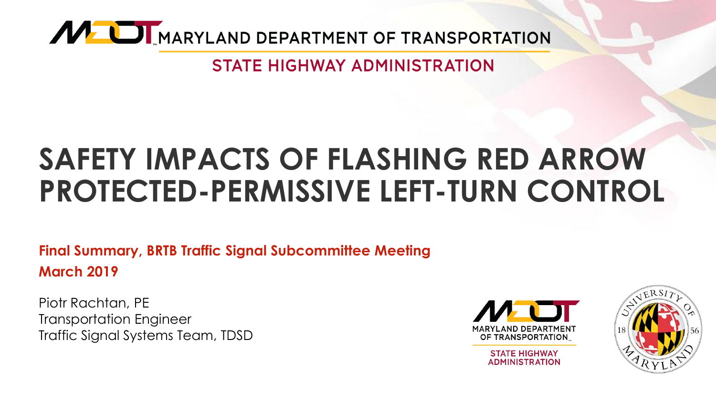

**STATE HIGHWAY ADMINISTRATION** 

# **SAFETY IMPACTS OF FLASHING RED ARROW PROTECTED-PERMISSIVE LEFT-TURN CONTROL**

**Final Summary, BRTB Traffic Signal Subcommittee Meeting March 2019** 

Piotr Rachtan, PE Transportation Engineer Traffic Signal Systems Team, TDSD



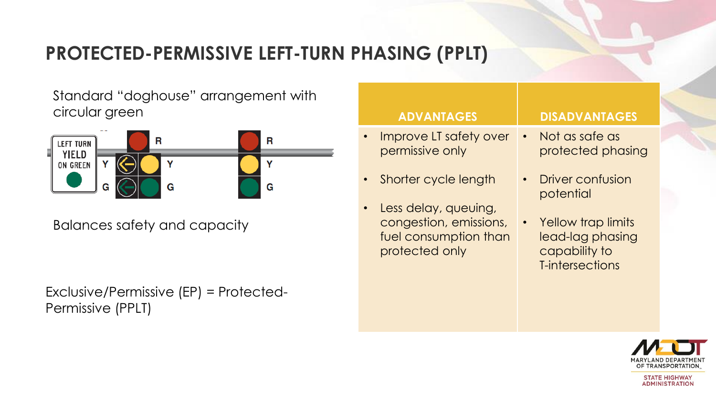#### **PROTECTED-PERMISSIVE LEFT-TURN PHASING (PPLT)**

Standard "doghouse" arrangement with circular green



Balances safety and capacity

Exclusive/Permissive (EP) = Protected-Permissive (PPLT)

| <b>ADVANTAGES</b>                                                 | <b>DISADVANTAGES</b>                                                                    |
|-------------------------------------------------------------------|-----------------------------------------------------------------------------------------|
| Improve LT safety over                                            | Not as safe as                                                                          |
| $\bullet$                                                         | $\bullet$                                                                               |
| permissive only                                                   | protected phasing                                                                       |
| Shorter cycle length                                              | Driver confusion                                                                        |
| Less delay, queuing,                                              | potential                                                                               |
| congestion, emissions,<br>fuel consumption than<br>protected only | Yellow trap limits<br>$\bullet$<br>lead-lag phasing<br>capability to<br>T-intersections |

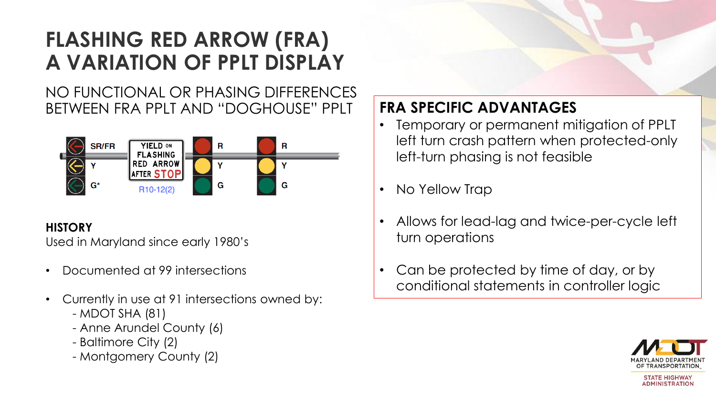### **FLASHING RED ARROW (FRA) A VARIATION OF PPLT DISPLAY**

NO FUNCTIONAL OR PHASING DIFFERENCES BETWEEN FRA PPLT AND "DOGHOUSE" PPLT



#### **HISTORY**

Used in Maryland since early 1980's

- Documented at 99 intersections
- Currently in use at 91 intersections owned by:
	- MDOT SHA (81)
	- Anne Arundel County (6)
	- Baltimore City (2)
	- Montgomery County (2)

#### **FRA SPECIFIC ADVANTAGES**

- Temporary or permanent mitigation of PPLT left turn crash pattern when protected-only left-turn phasing is not feasible
- No Yellow Trap
- Allows for lead-lag and twice-per-cycle left turn operations
- Can be protected by time of day, or by conditional statements in controller logic

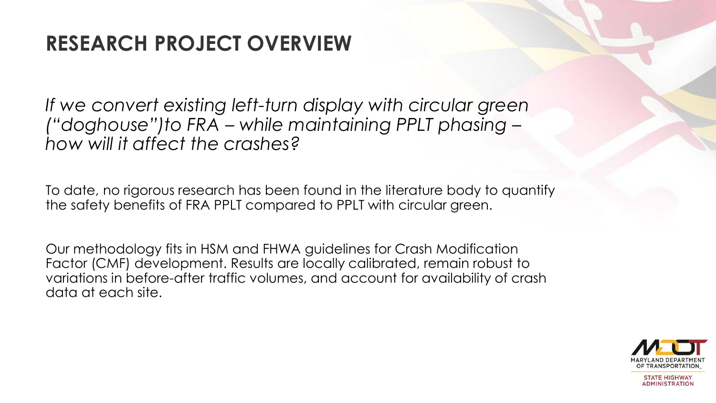#### **RESEARCH PROJECT OVERVIEW**

*If we convert existing left-turn display with circular green ("doghouse")to FRA – while maintaining PPLT phasing – how will it affect the crashes?*

To date, no rigorous research has been found in the literature body to quantify the safety benefits of FRA PPLT compared to PPLT with circular green.

Our methodology fits in HSM and FHWA guidelines for Crash Modification Factor (CMF) development. Results are locally calibrated, remain robust to variations in before-after traffic volumes, and account for availability of crash data at each site.

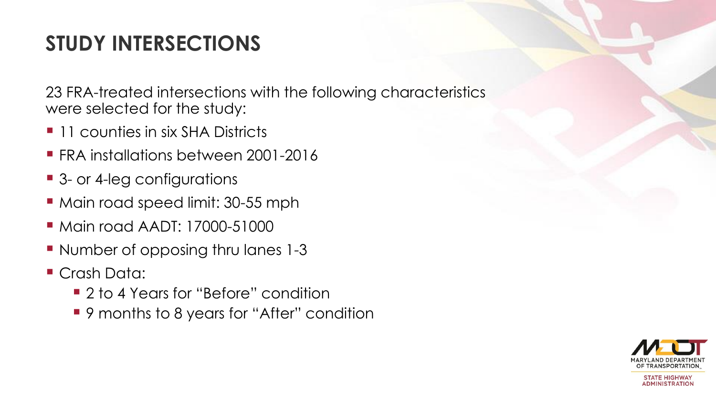## **STUDY INTERSECTIONS**

23 FRA-treated intersections with the following characteristics were selected for the study:

- **11 counties in six SHA Districts**
- **FRA installations between 2001-2016**
- 3- or 4-leg configurations
- **Main road speed limit: 30-55 mph**
- **Main road AADT: 17000-51000**
- **Number of opposing thru lanes 1-3**
- Crash Data:
	- 2 to 4 Years for "Before" condition
	- 9 months to 8 years for "After" condition

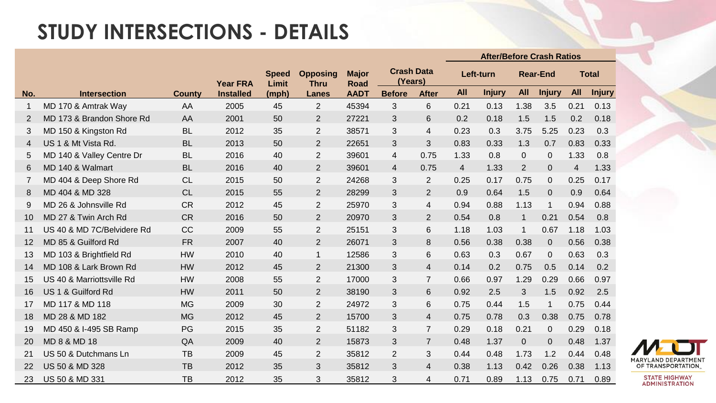#### **STUDY INTERSECTIONS - DETAILS**

|             |                            |               |                  |                       |                                |                             |                              |                | <b>After/Before Crash Ratios</b> |               |                 |                |                |               |
|-------------|----------------------------|---------------|------------------|-----------------------|--------------------------------|-----------------------------|------------------------------|----------------|----------------------------------|---------------|-----------------|----------------|----------------|---------------|
|             |                            |               | <b>Year FRA</b>  | <b>Speed</b><br>Limit | <b>Opposing</b><br><b>Thru</b> | <b>Major</b><br><b>Road</b> | <b>Crash Data</b><br>(Years) |                | Left-turn                        |               | <b>Rear-End</b> |                | <b>Total</b>   |               |
| No.         | <b>Intersection</b>        | <b>County</b> | <b>Installed</b> | (mph)                 | <b>Lanes</b>                   | <b>AADT</b>                 | <b>Before</b>                | <b>After</b>   | <b>All</b>                       | <b>Injury</b> | <b>All</b>      | <b>Injury</b>  | <b>All</b>     | <b>Injury</b> |
| $\mathbf 1$ | MD 170 & Amtrak Way        | AA            | 2005             | 45                    | $\overline{2}$                 | 45394                       | 3                            | 6              | 0.21                             | 0.13          | 1.38            | 3.5            | 0.21           | 0.13          |
| 2           | MD 173 & Brandon Shore Rd  | AA            | 2001             | 50                    | $\overline{2}$                 | 27221                       | 3                            | 6              | 0.2                              | 0.18          | 1.5             | 1.5            | 0.2            | 0.18          |
| 3           | MD 150 & Kingston Rd       | <b>BL</b>     | 2012             | 35                    | $\overline{2}$                 | 38571                       | 3                            | $\overline{4}$ | 0.23                             | 0.3           | 3.75            | 5.25           | 0.23           | 0.3           |
| 4           | US 1 & Mt Vista Rd.        | <b>BL</b>     | 2013             | 50                    | $\overline{2}$                 | 22651                       | 3                            | 3              | 0.83                             | 0.33          | 1.3             | 0.7            | 0.83           | 0.33          |
| 5           | MD 140 & Valley Centre Dr  | <b>BL</b>     | 2016             | 40                    | $\overline{2}$                 | 39601                       | 4                            | 0.75           | 1.33                             | 0.8           | $\overline{0}$  | $\overline{0}$ | 1.33           | 0.8           |
| 6           | MD 140 & Walmart           | <b>BL</b>     | 2016             | 40                    | $\overline{2}$                 | 39601                       | 4                            | 0.75           | $\overline{4}$                   | 1.33          | $\overline{2}$  | $\overline{0}$ | $\overline{4}$ | 1.33          |
| 7           | MD 404 & Deep Shore Rd     | CL            | 2015             | 50                    | $\overline{2}$                 | 24268                       | 3                            | $\overline{2}$ | 0.25                             | 0.17          | 0.75            | $\overline{0}$ | 0.25           | 0.17          |
| 8           | MD 404 & MD 328            | CL            | 2015             | 55                    | $\overline{2}$                 | 28299                       | 3                            | $\overline{2}$ | 0.9                              | 0.64          | 1.5             | $\overline{0}$ | 0.9            | 0.64          |
| 9           | MD 26 & Johnsville Rd      | <b>CR</b>     | 2012             | 45                    | $\overline{2}$                 | 25970                       | 3                            | 4              | 0.94                             | 0.88          | 1.13            | $\mathbf{1}$   | 0.94           | 0.88          |
| 10          | MD 27 & Twin Arch Rd       | <b>CR</b>     | 2016             | 50                    | $\overline{2}$                 | 20970                       | 3                            | $\overline{2}$ | 0.54                             | 0.8           | $\mathbf{1}$    | 0.21           | 0.54           | 0.8           |
| 11          | US 40 & MD 7C/Belvidere Rd | <b>CC</b>     | 2009             | 55                    | $\overline{2}$                 | 25151                       | 3                            | 6              | 1.18                             | 1.03          | $\mathbf{1}$    | 0.67           | 1.18           | 1.03          |
| 12          | MD 85 & Guilford Rd        | <b>FR</b>     | 2007             | 40                    | $\overline{2}$                 | 26071                       | 3                            | 8              | 0.56                             | 0.38          | 0.38            | $\overline{0}$ | 0.56           | 0.38          |
| 13          | MD 103 & Brightfield Rd    | <b>HW</b>     | 2010             | 40                    | $\mathbf{1}$                   | 12586                       | 3                            | $6\phantom{1}$ | 0.63                             | 0.3           | 0.67            | $\mathbf 0$    | 0.63           | 0.3           |
| 14          | MD 108 & Lark Brown Rd     | <b>HW</b>     | 2012             | 45                    | $\overline{2}$                 | 21300                       | 3                            | $\overline{4}$ | 0.14                             | 0.2           | 0.75            | 0.5            | 0.14           | 0.2           |
| 15          | US 40 & Marriottsville Rd  | <b>HW</b>     | 2008             | 55                    | $\overline{2}$                 | 17000                       | 3                            | $\overline{7}$ | 0.66                             | 0.97          | 1.29            | 0.29           | 0.66           | 0.97          |
| 16          | US 1 & Guilford Rd         | <b>HW</b>     | 2011             | 50                    | $\overline{2}$                 | 38190                       | 3                            | 6              | 0.92                             | 2.5           | 3               | 1.5            | 0.92           | 2.5           |
| 17          | MD 117 & MD 118            | <b>MG</b>     | 2009             | 30                    | $\overline{2}$                 | 24972                       | 3                            | 6              | 0.75                             | 0.44          | 1.5             | $\mathbf 1$    | 0.75           | 0.44          |
| 18          | MD 28 & MD 182             | <b>MG</b>     | 2012             | 45                    | $\overline{2}$                 | 15700                       | 3                            | $\overline{4}$ | 0.75                             | 0.78          | 0.3             | 0.38           | 0.75           | 0.78          |
| 19          | MD 450 & I-495 SB Ramp     | PG            | 2015             | 35                    | $\overline{2}$                 | 51182                       | 3                            | $\overline{7}$ | 0.29                             | 0.18          | 0.21            | $\overline{0}$ | 0.29           | 0.18          |
| 20          | MD 8 & MD 18               | QA            | 2009             | 40                    | $\overline{2}$                 | 15873                       | 3                            | $\overline{7}$ | 0.48                             | 1.37          | 0               | $\overline{0}$ | 0.48           | 1.37          |
| 21          | US 50 & Dutchmans Ln       | <b>TB</b>     | 2009             | 45                    | $\overline{2}$                 | 35812                       | $\overline{2}$               | 3              | 0.44                             | 0.48          | 1.73            | 1.2            | 0.44           | 0.48          |
| 22          | <b>US 50 &amp; MD 328</b>  | <b>TB</b>     | 2012             | 35                    | 3                              | 35812                       | 3                            | $\overline{4}$ | 0.38                             | 1.13          | 0.42            | 0.26           | 0.38           | 1.13          |
| 23          | US 50 & MD 331             | <b>TB</b>     | 2012             | 35                    | 3                              | 35812                       | 3                            | 4              | 0.71                             | 0.89          | 1.13            | 0.75           | 0.71           | 0.89          |

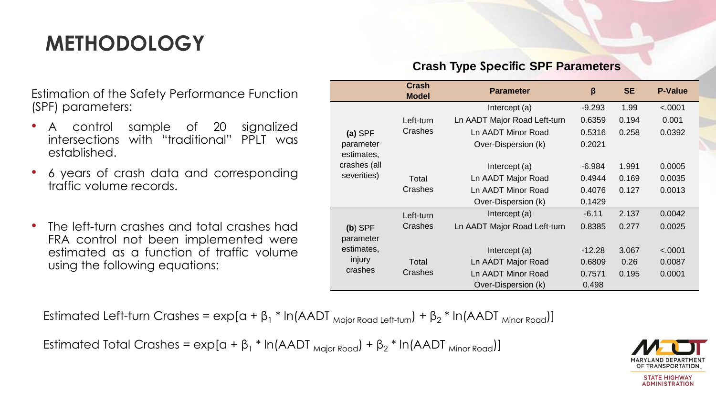## **METHODOLOGY**

Estimation of the Safety Performance Function (SPF) parameters:

- A control sample of 20 signalized intersections with "traditional" PPLT was established.
- 6 years of crash data and corresponding traffic volume records.
- The left-turn crashes and total crashes had FRA control not been implemented were estimated as a function of traffic volume using the following equations:

#### **Crash Type Specific SPF Parameters**

|              | <b>Crash</b><br><b>Model</b> | <b>Parameter</b>             | $\beta$  | <b>SE</b> | <b>P-Value</b> |
|--------------|------------------------------|------------------------------|----------|-----------|----------------|
|              |                              | Intercept (a)                | $-9.293$ | 1.99      | < .0001        |
|              | Left-turn                    | Ln AADT Major Road Left-turn | 0.6359   | 0.194     | 0.001          |
| $(a)$ SPF    | Crashes                      | Ln AADT Minor Road           | 0.5316   | 0.258     | 0.0392         |
| parameter    | Over-Dispersion (k)          |                              |          |           |                |
| estimates,   |                              |                              |          |           |                |
| crashes (all |                              | Intercept (a)                | -6.984   | 1.991     | 0.0005         |
| severities)  | Total                        | Ln AADT Major Road           | 0.4944   | 0.169     | 0.0035         |
|              | Crashes                      | Ln AADT Minor Road           | 0.4076   | 0.127     | 0.0013         |
|              |                              | Over-Dispersion (k)          | 0.1429   |           |                |
|              | Left-turn                    | Intercept (a)                | $-6.11$  | 2.137     | 0.0042         |
| $(b)$ SPF    | Crashes                      | Ln AADT Major Road Left-turn | 0.8385   | 0.277     | 0.0025         |
| parameter    |                              |                              |          |           |                |
| estimates,   |                              | Intercept (a)                | $-12.28$ | 3.067     | < .0001        |
| injury       | Total                        | Ln AADT Major Road           | 0.6809   | 0.26      | 0.0087         |
| crashes      | Crashes                      | Ln AADT Minor Road           | 0.7571   | 0.195     | 0.0001         |
|              |                              | Over-Dispersion (k)          | 0.498    |           |                |

Estimated Left-turn Crashes =  $\exp[\alpha + \beta_1 * \ln(AADT_{\text{Major Road Left-turn}}) + \beta_2 * \ln(AADT_{\text{Minor Road}})]$ 

Estimated Total Crashes =  $\exp[a + \beta_1 * \ln(AADT_{\text{Major Road}}) + \beta_2 * \ln(AADT_{\text{Minor Road}})]$ 

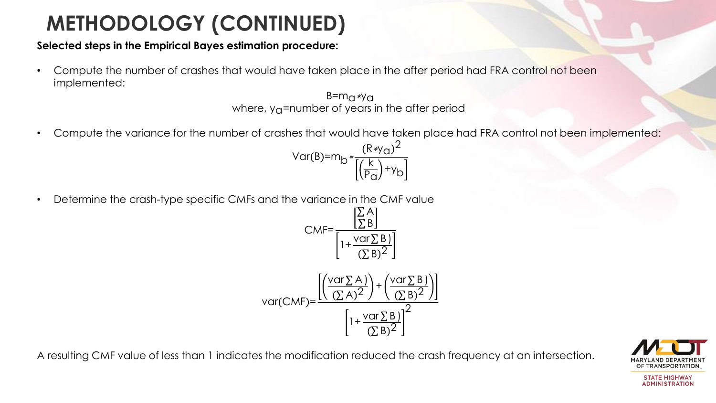# **METHODOLOGY (CONTINUED)**

#### **Selected steps in the Empirical Bayes estimation procedure:**

• Compute the number of crashes that would have taken place in the after period had FRA control not been implemented:

> $B= m<sub>0</sub>$ ∗y<sub>a</sub> where,  $y_{\Omega}$ =number of years in the after period

- Compute the variance for the number of crashes that would have taken place had FRA control not been implemented:
	- Var(B)=m<sub>b</sub> \*  $\frac{(R*y_0)^2}{\Gamma(k)}$ k  $\frac{R}{P_Q}$ +y<sub>b</sub>
- Determine the crash-type specific CMFs and the variance in the CMF value σ A

$$
CMF = \frac{\left[\frac{\sum A}{\sum B}\right]}{\left[1 + \frac{\text{var}\sum B}{(\sum B)^2}\right]}
$$
  
var(CMF) = 
$$
\frac{\left[\left(\frac{\text{var}\sum A}{(\sum A)^2}\right) + \left(\frac{\text{var}\sum B}{(\sum B)^2}\right)\right]}{\left[1 + \frac{\text{var}\sum B}{(\sum B)^2}\right]^2}
$$

A resulting CMF value of less than 1 indicates the modification reduced the crash frequency at an intersection.

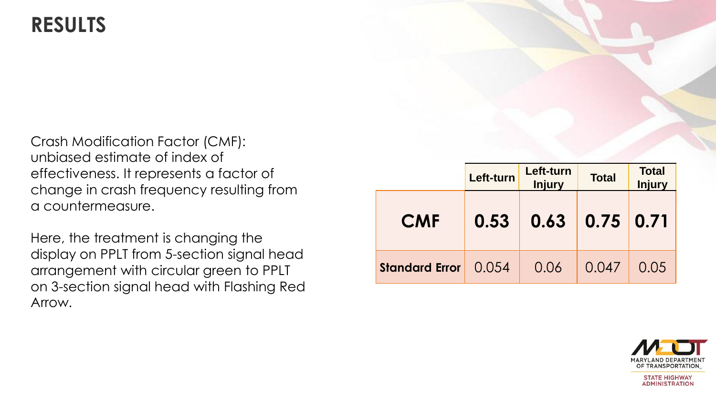#### **RESULTS**

Crash Modification Factor (CMF): unbiased estimate of index of effectiveness. It represents a factor of change in crash frequency resulting from a countermeasure.

Here, the treatment is changing the display on PPLT from 5-section signal head arrangement with circular green to PPLT on 3-section signal head with Flashing Red Arrow.

|                       | Left-turn | Left-turn<br><b>Injury</b> | <b>Total</b> | <b>Total</b><br><b>Injury</b> |
|-----------------------|-----------|----------------------------|--------------|-------------------------------|
| <b>CMF</b>            | 0.53      | 0.63                       | 0.75         | 0.71                          |
| <b>Standard Error</b> | 0.054     | 0.06                       | 0.047        | 0.05                          |

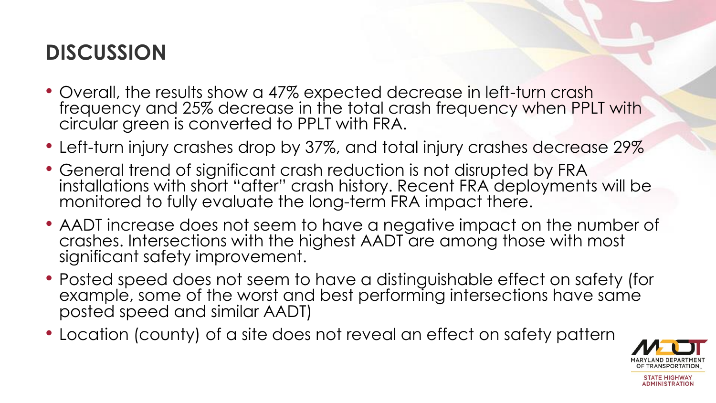### **DISCUSSION**

- Overall, the results show a 47% expected decrease in left-turn crash frequency and 25% decrease in the total crash frequency when PPLT with circular green is converted to PPLT with FRA.
- Left-turn injury crashes drop by 37%, and total injury crashes decrease 29%
- General trend of significant crash reduction is not disrupted by FRA installations with short "after" crash history. Recent FRA deployments will be monitored to fully evaluate the long-term FRA impact there.
- AADT increase does not seem to have a negative impact on the number of crashes. Intersections with the highest AADT are among those with most significant safety improvement.
- Posted speed does not seem to have a distinguishable effect on safety (for example, some of the worst and best performing intersections have same posted speed and similar AADT)
- Location (county) of a site does not reveal an effect on safety pattern

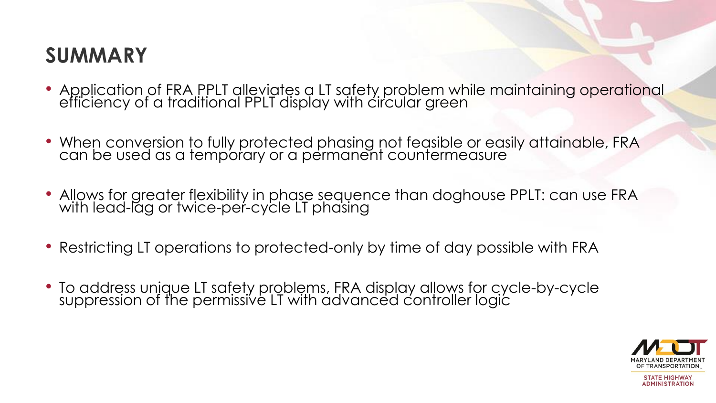### **SUMMARY**

- Application of FRA PPLT alleviates a LT safety problem while maintaining operational efficiency of a traditional PPLT display with circular green
- When conversion to fully protected phasing not feasible or easily attainable, FRA can be used as a temporary or a permanent countermeasure
- Allows for greater flexibility in phase sequence than doghouse PPLT: can use FRA with lead-lag or twice-per-cycle LT phasing
- Restricting LT operations to protected-only by time of day possible with FRA
- To address unique LT safety problems, FRA display allows for cycle-by-cycle suppression of the permissive LT with advanced controller logic

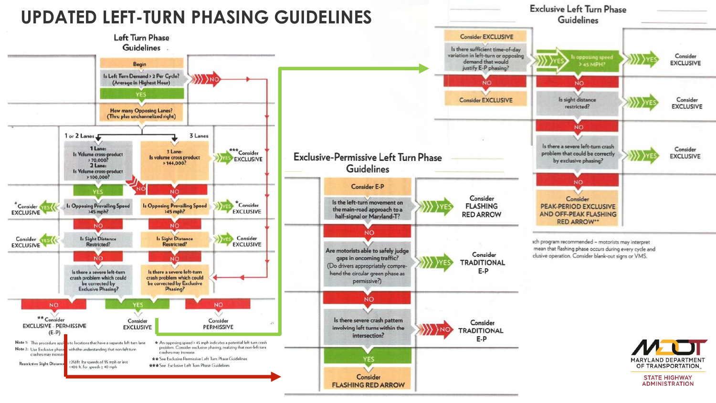